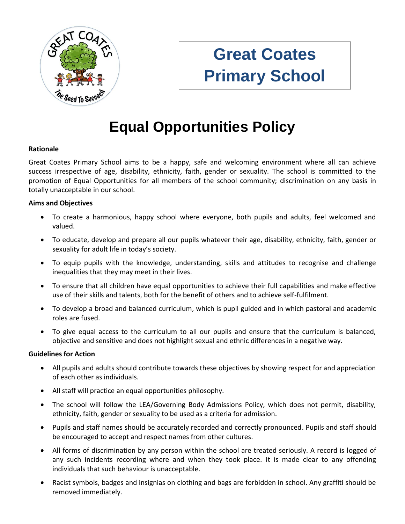

# **Great Coates Primary School**

# **Equal Opportunities Policy**

## **Rationale**

Great Coates Primary School aims to be a happy, safe and welcoming environment where all can achieve success irrespective of age, disability, ethnicity, faith, gender or sexuality. The school is committed to the promotion of Equal Opportunities for all members of the school community; discrimination on any basis in totally unacceptable in our school.

#### **Aims and Objectives**

- To create a harmonious, happy school where everyone, both pupils and adults, feel welcomed and valued.
- To educate, develop and prepare all our pupils whatever their age, disability, ethnicity, faith, gender or sexuality for adult life in today's society.
- To equip pupils with the knowledge, understanding, skills and attitudes to recognise and challenge inequalities that they may meet in their lives.
- To ensure that all children have equal opportunities to achieve their full capabilities and make effective use of their skills and talents, both for the benefit of others and to achieve self-fulfilment.
- To develop a broad and balanced curriculum, which is pupil guided and in which pastoral and academic roles are fused.
- To give equal access to the curriculum to all our pupils and ensure that the curriculum is balanced, objective and sensitive and does not highlight sexual and ethnic differences in a negative way.

#### **Guidelines for Action**

- All pupils and adults should contribute towards these objectives by showing respect for and appreciation of each other as individuals.
- All staff will practice an equal opportunities philosophy.
- The school will follow the LEA/Governing Body Admissions Policy, which does not permit, disability, ethnicity, faith, gender or sexuality to be used as a criteria for admission.
- Pupils and staff names should be accurately recorded and correctly pronounced. Pupils and staff should be encouraged to accept and respect names from other cultures.
- All forms of discrimination by any person within the school are treated seriously. A record is logged of any such incidents recording where and when they took place. It is made clear to any offending individuals that such behaviour is unacceptable.
- Racist symbols, badges and insignias on clothing and bags are forbidden in school. Any graffiti should be removed immediately.